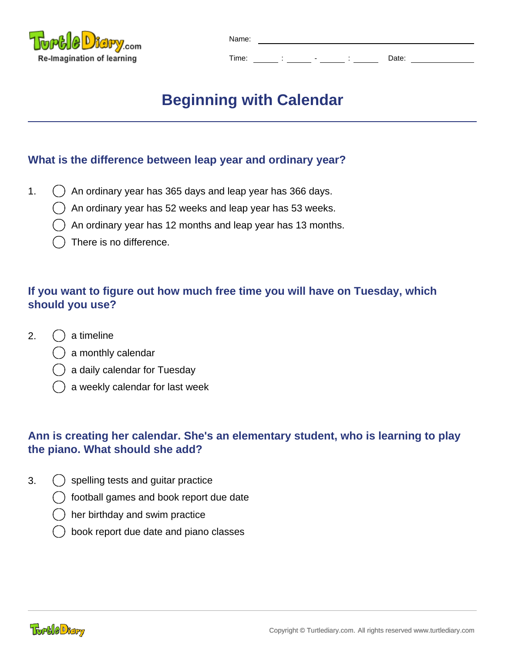

| Name: |        |                          |         |       |  |  |
|-------|--------|--------------------------|---------|-------|--|--|
|       |        |                          |         |       |  |  |
| Time: | ٠<br>٠ | $\overline{\phantom{0}}$ | $\cdot$ | Date: |  |  |

# **Beginning with Calendar**

## **What is the difference between leap year and ordinary year?**

- 1.  $\bigcap$  An ordinary year has 365 days and leap year has 366 days.
	- An ordinary year has 52 weeks and leap year has 53 weeks.
	- An ordinary year has 12 months and leap year has 13 months.
	- There is no difference.

# **If you want to figure out how much free time you will have on Tuesday, which should you use?**

- 2. ( ) a timeline
	- a monthly calendar
	- a daily calendar for Tuesday
	- a weekly calendar for last week

# **Ann is creating her calendar. She's an elementary student, who is learning to play the piano. What should she add?**

- 3.  $\left( \right)$  spelling tests and guitar practice
	- football games and book report due date
	- her birthday and swim practice
	- book report due date and piano classes

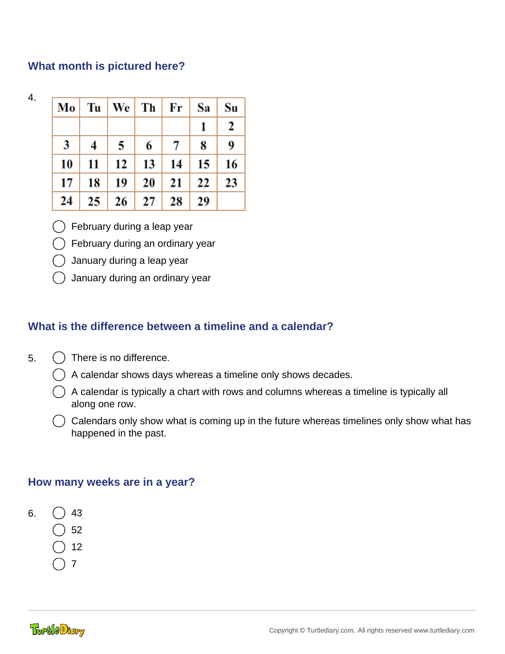## **What month is pictured here?**

4.

|    |    |                  |    | $\vert$ Mo $\vert$ Tu $\vert$ We $\vert$ Th $\vert$ Fr $\vert$ | Sa               | Su |
|----|----|------------------|----|----------------------------------------------------------------|------------------|----|
|    |    |                  |    |                                                                | 1                | 2  |
| 3  | 4  | 5                | 6  | 7                                                              | 8                | 9  |
| 10 | 11 | 12               | 13 | 14                                                             | $\vert 15 \vert$ | 16 |
| 17 | 18 | 19               | 20 | 21                                                             | 22               | 23 |
| 24 | 25 | $\vert 26 \vert$ | 27 | 28                                                             | 29               |    |

February during a leap year

February during an ordinary year

January during a leap year

January during an ordinary year

## **What is the difference between a timeline and a calendar?**

- 5.  $( )$  There is no difference.
	- A calendar shows days whereas a timeline only shows decades.
	- $\hat{A}$  A calendar is typically a chart with rows and columns whereas a timeline is typically all along one row.
	- $\binom{1}{k}$  Calendars only show what is coming up in the future whereas timelines only show what has happened in the past.

## **How many weeks are in a year?**

- 6.  $( ) 43$ 
	- 52
	- 12
	- 7
	-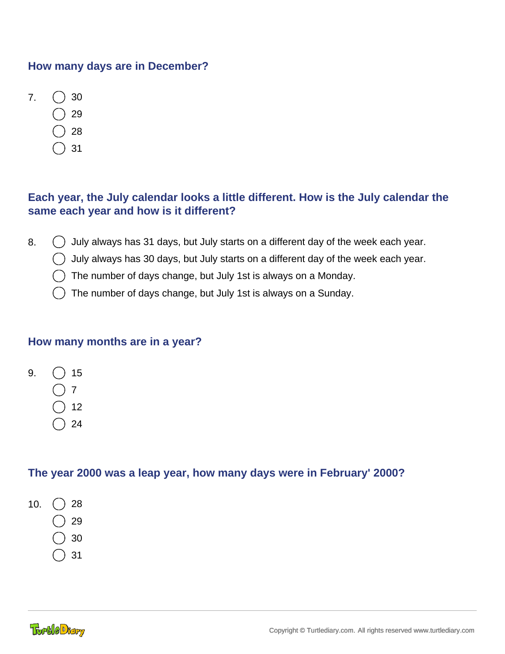## **How many days are in December?**

- $7.$  () 30
	- 29
	- 28
	- 31

## **Each year, the July calendar looks a little different. How is the July calendar the same each year and how is it different?**

- 8.  $\bigcirc$  July always has 31 days, but July starts on a different day of the week each year.
	- $\bigcirc$  July always has 30 days, but July starts on a different day of the week each year.
		- The number of days change, but July 1st is always on a Monday.
		- The number of days change, but July 1st is always on a Sunday.

## **How many months are in a year?**



- 7
- )12
- $\binom{24}{}$

## **The year 2000 was a leap year, how many days were in February' 2000?**

- 10.  $( ) 28$ 
	- 29
	- 30
	- 31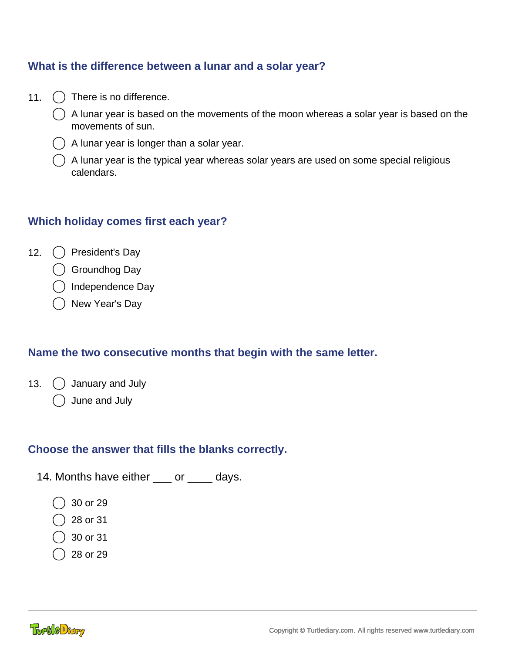## **What is the difference between a lunar and a solar year?**

- 11. () There is no difference.
	- A lunar year is based on the movements of the moon whereas a solar year is based on the movements of sun.
	- A lunar year is longer than a solar year.
	- A lunar year is the typical year whereas solar years are used on some special religious calendars.

## **Which holiday comes first each year?**

- 12. ( ) President's Day
	- Groundhog Day
	- ) Independence Day
	- New Year's Day

## **Name the two consecutive months that begin with the same letter.**

- 13. ( ) January and July
	- June and July

#### **Choose the answer that fills the blanks correctly.**

- 14. Months have either \_\_\_ or \_\_\_\_ days.
	- 30 or 29
	- 28 or 31
	- 30 or 31
	- 28 or 29